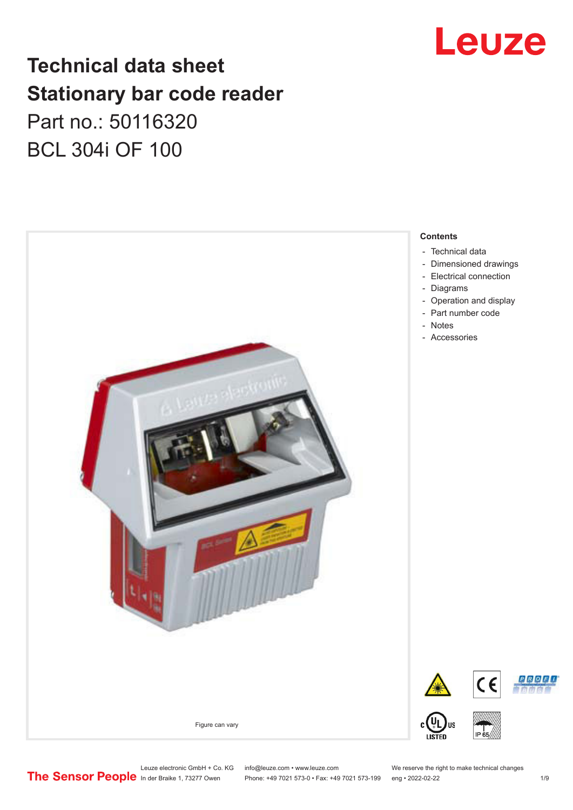

## **Technical data sheet Stationary bar code reader** Part no.: 50116320 BCL 304i OF 100



Leuze electronic GmbH + Co. KG info@leuze.com • www.leuze.com We reserve the right to make technical changes<br>
The Sensor People in der Braike 1, 73277 Owen Phone: +49 7021 573-0 • Fax: +49 7021 573-199 eng • 2022-02-22

Phone: +49 7021 573-0 • Fax: +49 7021 573-199 eng • 2022-02-22 1 /9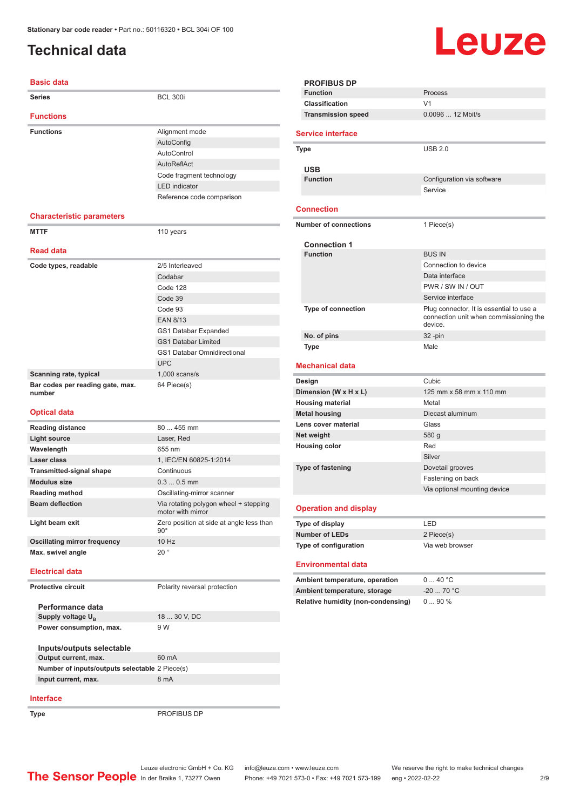### <span id="page-1-0"></span>**Technical data**

#### **Basic data**

| <b>Series</b>                              | <b>BCL 300i</b>                    |  |  |
|--------------------------------------------|------------------------------------|--|--|
| <b>Functions</b>                           |                                    |  |  |
| <b>Functions</b>                           | Alignment mode                     |  |  |
|                                            | AutoConfig                         |  |  |
|                                            | AutoControl                        |  |  |
|                                            | AutoReflAct                        |  |  |
|                                            | Code fragment technology           |  |  |
|                                            | <b>LED</b> indicator               |  |  |
|                                            | Reference code comparison          |  |  |
|                                            |                                    |  |  |
| <b>Characteristic parameters</b>           |                                    |  |  |
| <b>MTTF</b>                                | 110 years                          |  |  |
|                                            |                                    |  |  |
| <b>Read data</b>                           |                                    |  |  |
| Code types, readable                       | 2/5 Interleaved                    |  |  |
|                                            | Codabar                            |  |  |
|                                            | Code 128                           |  |  |
|                                            | Code 39                            |  |  |
|                                            | Code 93                            |  |  |
|                                            | <b>EAN 8/13</b>                    |  |  |
|                                            | GS1 Databar Expanded               |  |  |
|                                            | <b>GS1 Databar Limited</b>         |  |  |
|                                            | <b>GS1 Databar Omnidirectional</b> |  |  |
|                                            | <b>UPC</b>                         |  |  |
| Scanning rate, typical                     | $1,000$ scans/s                    |  |  |
| Bar codes per reading gate, max.<br>number | 64 Piece(s)                        |  |  |

#### **Optical data**

| <b>Reading distance</b>             | $80455$ mm                                                 |
|-------------------------------------|------------------------------------------------------------|
| Light source                        | Laser, Red                                                 |
| Wavelength                          | 655 nm                                                     |
| Laser class                         | 1, IEC/EN 60825-1:2014                                     |
| <b>Transmitted-signal shape</b>     | Continuous                                                 |
| <b>Modulus size</b>                 | $0.30.5$ mm                                                |
| <b>Reading method</b>               | Oscillating-mirror scanner                                 |
| <b>Beam deflection</b>              | Via rotating polygon wheel + stepping<br>motor with mirror |
| Light beam exit                     | Zero position at side at angle less than<br>$90^{\circ}$   |
| <b>Oscillating mirror frequency</b> | 10 Hz                                                      |
| Max. swivel angle                   | $20^{\circ}$                                               |
|                                     |                                                            |

#### **Electrical data**

**Protective circuit** Polarity reversal protection

| Performance data              |              |
|-------------------------------|--------------|
| Supply voltage U <sub>p</sub> | 18  30 V, DC |
| Power consumption, max.       | 9 W          |
|                               |              |
| Inputs/outputs selectable     |              |
| Output current, max.          | 60 mA        |

| Number of inputs/outputs selectable 2 Piece(s) |      |  |
|------------------------------------------------|------|--|
| Input current, max.                            | 8 mA |  |

#### **Interface**

**Type** PROFIBUS DP

Leuze

|                          | <b>PROFIBUS DP</b>                 |                                                                                               |  |
|--------------------------|------------------------------------|-----------------------------------------------------------------------------------------------|--|
|                          | <b>Function</b>                    | Process                                                                                       |  |
|                          | <b>Classification</b>              | V <sub>1</sub>                                                                                |  |
|                          | <b>Transmission speed</b>          | 0.0096  12 Mbit/s                                                                             |  |
|                          |                                    |                                                                                               |  |
| <b>Service interface</b> |                                    |                                                                                               |  |
| Type                     |                                    | <b>USB 2.0</b>                                                                                |  |
|                          |                                    |                                                                                               |  |
|                          | <b>USB</b><br><b>Function</b>      | Configuration via software                                                                    |  |
|                          |                                    | Service                                                                                       |  |
|                          |                                    |                                                                                               |  |
|                          | <b>Connection</b>                  |                                                                                               |  |
|                          | <b>Number of connections</b>       | 1 Piece(s)                                                                                    |  |
|                          |                                    |                                                                                               |  |
|                          | <b>Connection 1</b>                |                                                                                               |  |
|                          | <b>Function</b>                    | <b>BUS IN</b>                                                                                 |  |
|                          |                                    | Connection to device                                                                          |  |
|                          |                                    | Data interface                                                                                |  |
|                          |                                    | PWR / SW IN / OUT                                                                             |  |
|                          |                                    | Service interface                                                                             |  |
|                          | <b>Type of connection</b>          | Plug connector, It is essential to use a<br>connection unit when commissioning the<br>device. |  |
|                          | No. of pins                        | $32 - pin$                                                                                    |  |
|                          | <b>Type</b>                        | Male                                                                                          |  |
|                          |                                    |                                                                                               |  |
|                          | <b>Mechanical data</b>             |                                                                                               |  |
|                          |                                    |                                                                                               |  |
|                          | Design                             | Cubic                                                                                         |  |
|                          | Dimension (W x H x L)              | 125 mm x 58 mm x 110 mm<br>Metal                                                              |  |
|                          | <b>Housing material</b>            |                                                                                               |  |
|                          | <b>Metal housing</b>               | Diecast aluminum<br>Glass                                                                     |  |
|                          | Lens cover material                | 580 g                                                                                         |  |
|                          | Net weight                         | Red                                                                                           |  |
|                          | <b>Housing color</b>               | Silver                                                                                        |  |
|                          |                                    |                                                                                               |  |
|                          | <b>Type of fastening</b>           | Dovetail grooves                                                                              |  |
|                          |                                    | Fastening on back                                                                             |  |
|                          |                                    | Via optional mounting device                                                                  |  |
|                          | <b>Operation and display</b>       |                                                                                               |  |
|                          | Type of display                    | LED                                                                                           |  |
|                          | <b>Number of LEDs</b>              | 2 Piece(s)                                                                                    |  |
|                          | <b>Type of configuration</b>       | Via web browser                                                                               |  |
|                          | <b>Environmental data</b>          |                                                                                               |  |
|                          | Ambient temperature, operation     | 040 °C                                                                                        |  |
|                          | Ambient temperature, storage       | $-20$ 70 °C                                                                                   |  |
|                          | Relative humidity (non-condensing) | 090%                                                                                          |  |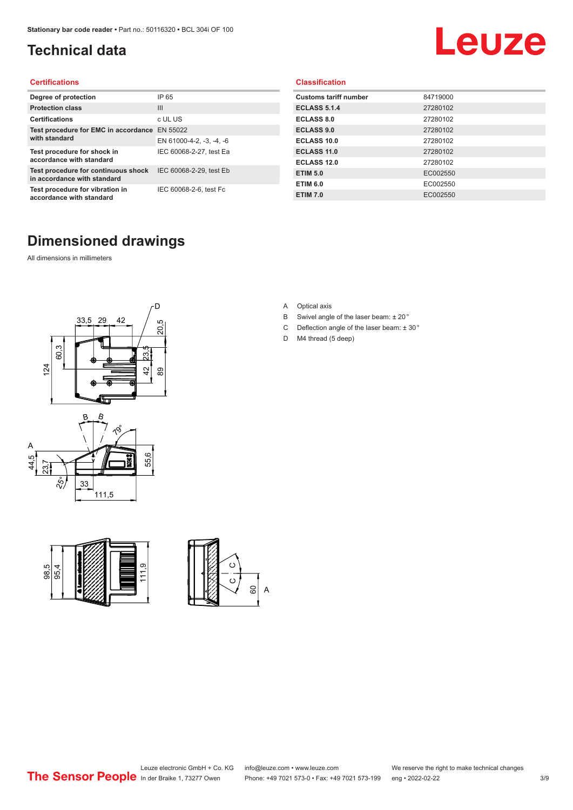## <span id="page-2-0"></span>**Technical data**

## Leuze

#### **Certifications**

| Degree of protection                                               | IP 65                    |
|--------------------------------------------------------------------|--------------------------|
| <b>Protection class</b>                                            | Ш                        |
| <b>Certifications</b>                                              | c UL US                  |
| Test procedure for EMC in accordance EN 55022                      |                          |
| with standard                                                      | EN 61000-4-2, -3, -4, -6 |
| Test procedure for shock in<br>accordance with standard            | IEC 60068-2-27, test Ea  |
| Test procedure for continuous shock<br>in accordance with standard | IEC 60068-2-29, test Eb  |
| Test procedure for vibration in<br>accordance with standard        | IEC 60068-2-6, test Fc   |

#### **Classification**

| <b>Customs tariff number</b> | 84719000 |
|------------------------------|----------|
| <b>ECLASS 5.1.4</b>          | 27280102 |
| <b>ECLASS 8.0</b>            | 27280102 |
| <b>ECLASS 9.0</b>            | 27280102 |
| ECLASS 10.0                  | 27280102 |
| <b>ECLASS 11.0</b>           | 27280102 |
| ECLASS 12.0                  | 27280102 |
| <b>ETIM 5.0</b>              | EC002550 |
| <b>ETIM 6.0</b>              | EC002550 |
| <b>ETIM 7.0</b>              | EC002550 |

### **Dimensioned drawings**

All dimensions in millimeters









- B Swivel angle of the laser beam: ± 20 °
- C Deflection angle of the laser beam:  $\pm$  30 $^{\circ}$
- D M4 thread (5 deep)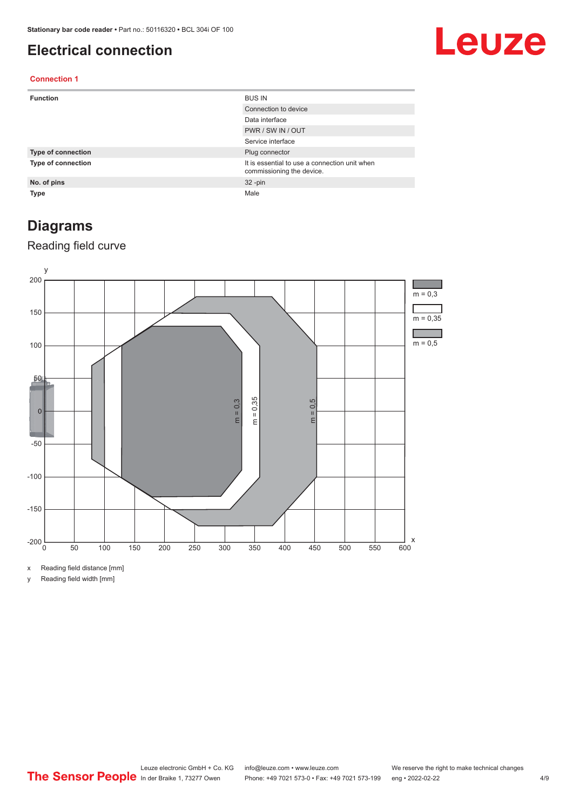#### <span id="page-3-0"></span>**Electrical connection**

## Leuze

#### **Connection 1**

| <b>Function</b>           | <b>BUS IN</b>                                                              |
|---------------------------|----------------------------------------------------------------------------|
|                           | Connection to device                                                       |
|                           | Data interface                                                             |
|                           | PWR / SW IN / OUT                                                          |
|                           | Service interface                                                          |
| <b>Type of connection</b> | Plug connector                                                             |
| <b>Type of connection</b> | It is essential to use a connection unit when<br>commissioning the device. |
| No. of pins               | $32 - pin$                                                                 |
| <b>Type</b>               | Male                                                                       |

#### **Diagrams**

#### Reading field curve



x Reading field distance [mm]

y Reading field width [mm]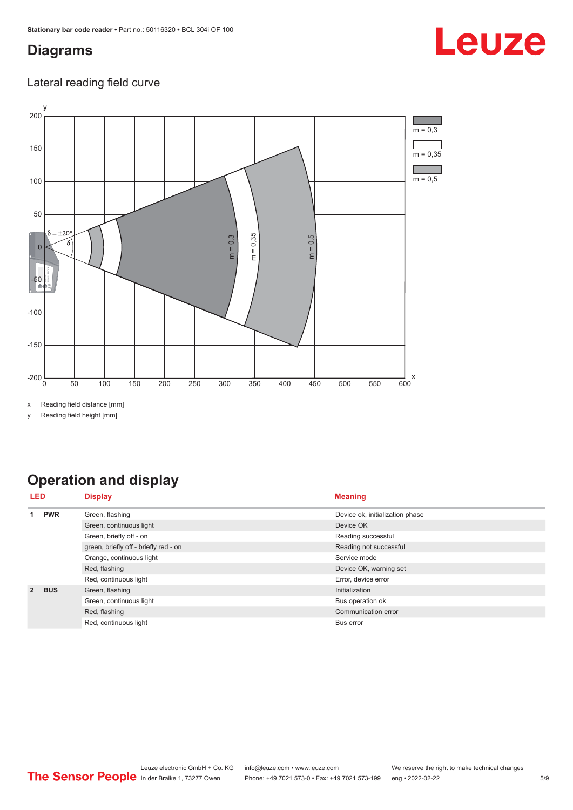#### <span id="page-4-0"></span>**Diagrams**

# Leuze

#### Lateral reading field curve



x Reading field distance [mm]

y Reading field height [mm]

### **Operation and display**

| LED            |            | <b>Display</b>                        | <b>Meaning</b>                  |  |
|----------------|------------|---------------------------------------|---------------------------------|--|
|                | <b>PWR</b> | Green, flashing                       | Device ok, initialization phase |  |
|                |            | Green, continuous light               | Device OK                       |  |
|                |            | Green, briefly off - on               | Reading successful              |  |
|                |            | green, briefly off - briefly red - on | Reading not successful          |  |
|                |            | Orange, continuous light              | Service mode                    |  |
|                |            | Red, flashing                         | Device OK, warning set          |  |
|                |            | Red, continuous light                 | Error, device error             |  |
| $\overline{2}$ | <b>BUS</b> | Green, flashing                       | Initialization                  |  |
|                |            | Green, continuous light               | Bus operation ok                |  |
|                |            | Red, flashing                         | Communication error             |  |
|                |            | Red, continuous light                 | Bus error                       |  |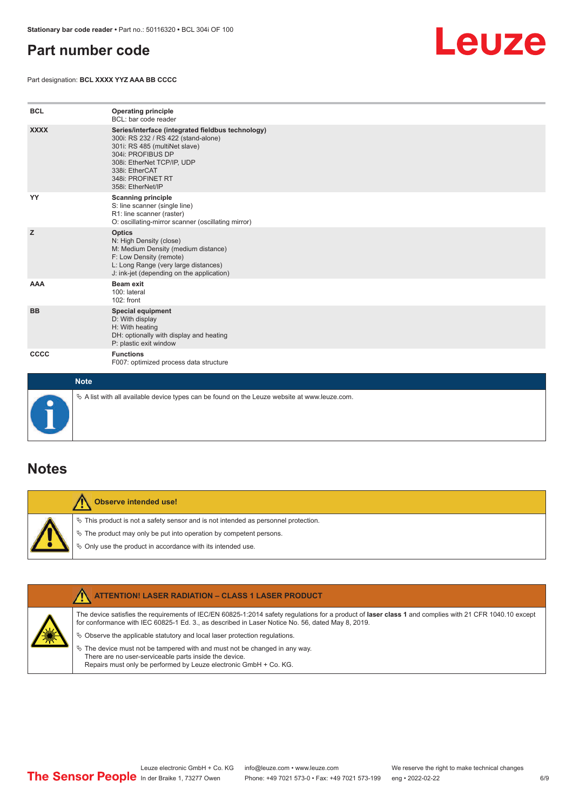#### <span id="page-5-0"></span>**Part number code**

Part designation: **BCL XXXX YYZ AAA BB CCCC**



| <b>BCL</b>  | <b>Operating principle</b><br>BCL: bar code reader                                                                                                                                                                                       |
|-------------|------------------------------------------------------------------------------------------------------------------------------------------------------------------------------------------------------------------------------------------|
| <b>XXXX</b> | Series/interface (integrated fieldbus technology)<br>300i: RS 232 / RS 422 (stand-alone)<br>301i: RS 485 (multiNet slave)<br>304i: PROFIBUS DP<br>308i: EtherNet TCP/IP, UDP<br>338i: EtherCAT<br>348i: PROFINET RT<br>358i: EtherNet/IP |
| YY          | <b>Scanning principle</b><br>S: line scanner (single line)<br>R1: line scanner (raster)<br>O: oscillating-mirror scanner (oscillating mirror)                                                                                            |
| z           | <b>Optics</b><br>N: High Density (close)<br>M: Medium Density (medium distance)<br>F: Low Density (remote)<br>L: Long Range (very large distances)<br>J: ink-jet (depending on the application)                                          |
| AAA         | Beam exit<br>100: lateral<br>102: front                                                                                                                                                                                                  |
| <b>BB</b>   | <b>Special equipment</b><br>D: With display<br>H: With heating<br>DH: optionally with display and heating<br>P: plastic exit window                                                                                                      |
| cccc        | <b>Functions</b><br>F007: optimized process data structure                                                                                                                                                                               |
| <b>Note</b> |                                                                                                                                                                                                                                          |



 $\%$  A list with all available device types can be found on the Leuze website at www.leuze.com.

#### **Notes**

**Observe intended use!** Λ  $\%$  This product is not a safety sensor and is not intended as personnel protection.  $\%$  The product may only be put into operation by competent persons.  $\%$  Only use the product in accordance with its intended use.

| <b>ATTENTION! LASER RADIATION - CLASS 1 LASER PRODUCT</b>                                                                                                                                                                                                                                     |
|-----------------------------------------------------------------------------------------------------------------------------------------------------------------------------------------------------------------------------------------------------------------------------------------------|
| The device satisfies the requirements of IEC/EN 60825-1:2014 safety requlations for a product of laser class 1 and complies with 21 CFR 1040.10 except<br>for conformance with IEC 60825-1 Ed. 3., as described in Laser Notice No. 56, dated May 8, 2019.                                    |
| $\&$ Observe the applicable statutory and local laser protection regulations.<br>$\%$ The device must not be tampered with and must not be changed in any way.<br>There are no user-serviceable parts inside the device.<br>Repairs must only be performed by Leuze electronic GmbH + Co. KG. |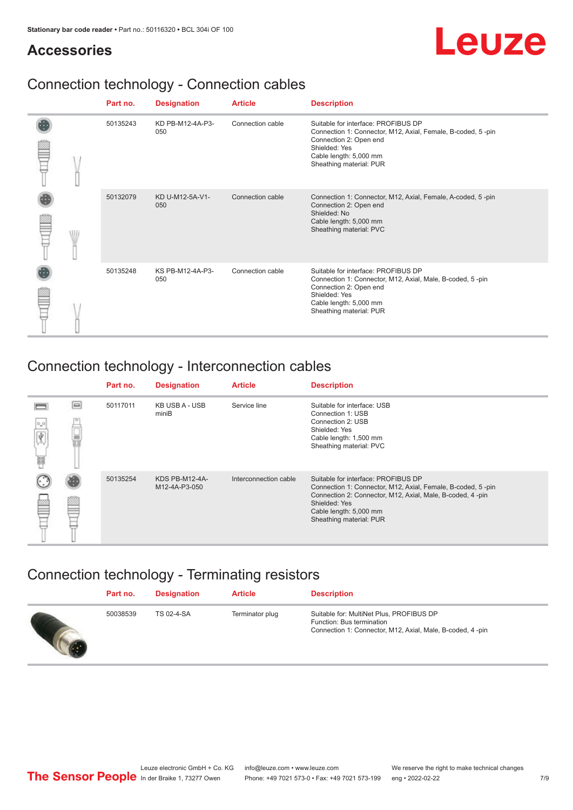#### **Accessories**

## Leuze

### Connection technology - Connection cables

|  | Part no. | <b>Designation</b>      | <b>Article</b>   | <b>Description</b>                                                                                                                                                                                 |
|--|----------|-------------------------|------------------|----------------------------------------------------------------------------------------------------------------------------------------------------------------------------------------------------|
|  | 50135243 | KD PB-M12-4A-P3-<br>050 | Connection cable | Suitable for interface: PROFIBUS DP<br>Connection 1: Connector, M12, Axial, Female, B-coded, 5-pin<br>Connection 2: Open end<br>Shielded: Yes<br>Cable length: 5,000 mm<br>Sheathing material: PUR |
|  | 50132079 | KD U-M12-5A-V1-<br>050  | Connection cable | Connection 1: Connector, M12, Axial, Female, A-coded, 5-pin<br>Connection 2: Open end<br>Shielded: No<br>Cable length: 5,000 mm<br>Sheathing material: PVC                                         |
|  | 50135248 | KS PB-M12-4A-P3-<br>050 | Connection cable | Suitable for interface: PROFIBUS DP<br>Connection 1: Connector, M12, Axial, Male, B-coded, 5-pin<br>Connection 2: Open end<br>Shielded: Yes<br>Cable length: 5,000 mm<br>Sheathing material: PUR   |

### Connection technology - Interconnection cables

|                |          | Part no. | <b>Designation</b>                     | <b>Article</b>        | <b>Description</b>                                                                                                                                                                                                                    |
|----------------|----------|----------|----------------------------------------|-----------------------|---------------------------------------------------------------------------------------------------------------------------------------------------------------------------------------------------------------------------------------|
| $0\,$ $0$<br>扁 | $\equiv$ | 50117011 | KB USB A - USB<br>miniB                | Service line          | Suitable for interface: USB<br>Connection 1: USB<br>Connection 2: USB<br>Shielded: Yes<br>Cable length: 1,500 mm<br>Sheathing material: PVC                                                                                           |
|                |          | 50135254 | <b>KDS PB-M12-4A-</b><br>M12-4A-P3-050 | Interconnection cable | Suitable for interface: PROFIBUS DP<br>Connection 1: Connector, M12, Axial, Female, B-coded, 5-pin<br>Connection 2: Connector, M12, Axial, Male, B-coded, 4-pin<br>Shielded: Yes<br>Cable length: 5,000 mm<br>Sheathing material: PUR |

#### Connection technology - Terminating resistors

| Part no. | <b>Designation</b> | <b>Article</b>  | <b>Description</b>                                                                                                                 |
|----------|--------------------|-----------------|------------------------------------------------------------------------------------------------------------------------------------|
| 50038539 | TS 02-4-SA         | Terminator plug | Suitable for: MultiNet Plus, PROFIBUS DP<br>Function: Bus termination<br>Connection 1: Connector, M12, Axial, Male, B-coded, 4-pin |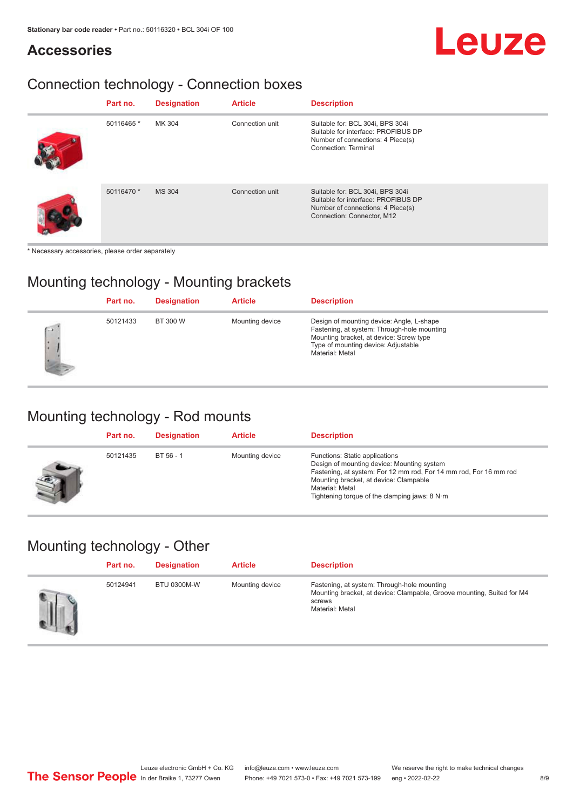#### **Accessories**

## Leuze

## Connection technology - Connection boxes

| Part no.   | <b>Designation</b> | <b>Article</b>  | <b>Description</b>                                                                                                                          |
|------------|--------------------|-----------------|---------------------------------------------------------------------------------------------------------------------------------------------|
| 50116465 * | MK 304             | Connection unit | Suitable for: BCL 304i, BPS 304i<br>Suitable for interface: PROFIBUS DP<br>Number of connections: 4 Piece(s)<br><b>Connection: Terminal</b> |
| 50116470 * | <b>MS 304</b>      | Connection unit | Suitable for: BCL 304i, BPS 304i<br>Suitable for interface: PROFIBUS DP<br>Number of connections: 4 Piece(s)<br>Connection: Connector, M12  |

\* Necessary accessories, please order separately

#### Mounting technology - Mounting brackets

|          | Part no. | <b>Designation</b> | <b>Article</b>  | <b>Description</b>                                                                                                                                                                            |
|----------|----------|--------------------|-----------------|-----------------------------------------------------------------------------------------------------------------------------------------------------------------------------------------------|
| C5<br>ı. | 50121433 | BT 300 W           | Mounting device | Design of mounting device: Angle, L-shape<br>Fastening, at system: Through-hole mounting<br>Mounting bracket, at device: Screw type<br>Type of mounting device: Adjustable<br>Material: Metal |

#### Mounting technology - Rod mounts

| Part no. | <b>Designation</b> | <b>Article</b>  | <b>Description</b>                                                                                                                                                                                                                                                |
|----------|--------------------|-----------------|-------------------------------------------------------------------------------------------------------------------------------------------------------------------------------------------------------------------------------------------------------------------|
| 50121435 | BT 56 - 1          | Mounting device | Functions: Static applications<br>Design of mounting device: Mounting system<br>Fastening, at system: For 12 mm rod, For 14 mm rod, For 16 mm rod<br>Mounting bracket, at device: Clampable<br>Material: Metal<br>Tightening torque of the clamping jaws: $8 N·m$ |

#### Mounting technology - Other

| Part no. | <b>Designation</b> | <b>Article</b>  | <b>Description</b>                                                                                                                                 |
|----------|--------------------|-----------------|----------------------------------------------------------------------------------------------------------------------------------------------------|
| 50124941 | <b>BTU 0300M-W</b> | Mounting device | Fastening, at system: Through-hole mounting<br>Mounting bracket, at device: Clampable, Groove mounting, Suited for M4<br>screws<br>Material: Metal |